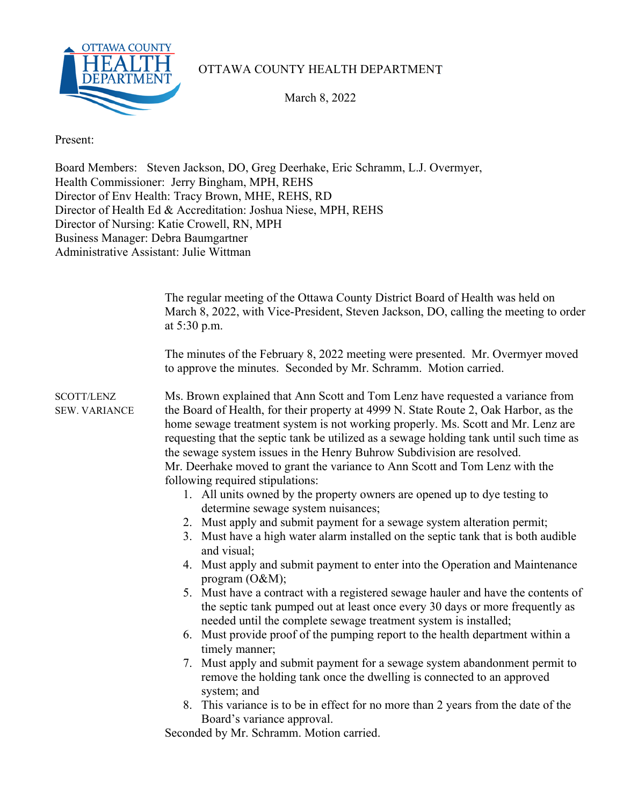

## OTTAWA COUNTY HEALTH DEPARTMENT

March 8, 2022

Present:

Board Members: Steven Jackson, DO, Greg Deerhake, Eric Schramm, L.J. Overmyer, Health Commissioner: Jerry Bingham, MPH, REHS Director of Env Health: Tracy Brown, MHE, REHS, RD Director of Health Ed & Accreditation: Joshua Niese, MPH, REHS Director of Nursing: Katie Crowell, RN, MPH Business Manager: Debra Baumgartner Administrative Assistant: Julie Wittman

|                                           | The regular meeting of the Ottawa County District Board of Health was held on<br>March 8, 2022, with Vice-President, Steven Jackson, DO, calling the meeting to order<br>at 5:30 p.m.                                                                                                                                                                                                                                                                                                                                                                                                                                                                                                                                                                                                                                                                                                                                                                                                                                                                                                                                                                                                                                                                                                                                                                                                                                                                                                                                                                                                     |  |  |  |
|-------------------------------------------|-------------------------------------------------------------------------------------------------------------------------------------------------------------------------------------------------------------------------------------------------------------------------------------------------------------------------------------------------------------------------------------------------------------------------------------------------------------------------------------------------------------------------------------------------------------------------------------------------------------------------------------------------------------------------------------------------------------------------------------------------------------------------------------------------------------------------------------------------------------------------------------------------------------------------------------------------------------------------------------------------------------------------------------------------------------------------------------------------------------------------------------------------------------------------------------------------------------------------------------------------------------------------------------------------------------------------------------------------------------------------------------------------------------------------------------------------------------------------------------------------------------------------------------------------------------------------------------------|--|--|--|
|                                           | The minutes of the February 8, 2022 meeting were presented. Mr. Overmyer moved<br>to approve the minutes. Seconded by Mr. Schramm. Motion carried.                                                                                                                                                                                                                                                                                                                                                                                                                                                                                                                                                                                                                                                                                                                                                                                                                                                                                                                                                                                                                                                                                                                                                                                                                                                                                                                                                                                                                                        |  |  |  |
| <b>SCOTT/LENZ</b><br><b>SEW. VARIANCE</b> | Ms. Brown explained that Ann Scott and Tom Lenz have requested a variance from<br>the Board of Health, for their property at 4999 N. State Route 2, Oak Harbor, as the<br>home sewage treatment system is not working properly. Ms. Scott and Mr. Lenz are<br>requesting that the septic tank be utilized as a sewage holding tank until such time as<br>the sewage system issues in the Henry Buhrow Subdivision are resolved.<br>Mr. Deerhake moved to grant the variance to Ann Scott and Tom Lenz with the<br>following required stipulations:<br>1. All units owned by the property owners are opened up to dye testing to<br>determine sewage system nuisances;<br>2. Must apply and submit payment for a sewage system alteration permit;<br>3. Must have a high water alarm installed on the septic tank that is both audible<br>and visual;<br>4. Must apply and submit payment to enter into the Operation and Maintenance<br>program (O&M);<br>5. Must have a contract with a registered sewage hauler and have the contents of<br>the septic tank pumped out at least once every 30 days or more frequently as<br>needed until the complete sewage treatment system is installed;<br>6. Must provide proof of the pumping report to the health department within a<br>timely manner;<br>7. Must apply and submit payment for a sewage system abandonment permit to<br>remove the holding tank once the dwelling is connected to an approved<br>system; and<br>8. This variance is to be in effect for no more than 2 years from the date of the<br>Board's variance approval. |  |  |  |
|                                           | Seconded by Mr. Schramm. Motion carried.                                                                                                                                                                                                                                                                                                                                                                                                                                                                                                                                                                                                                                                                                                                                                                                                                                                                                                                                                                                                                                                                                                                                                                                                                                                                                                                                                                                                                                                                                                                                                  |  |  |  |
|                                           |                                                                                                                                                                                                                                                                                                                                                                                                                                                                                                                                                                                                                                                                                                                                                                                                                                                                                                                                                                                                                                                                                                                                                                                                                                                                                                                                                                                                                                                                                                                                                                                           |  |  |  |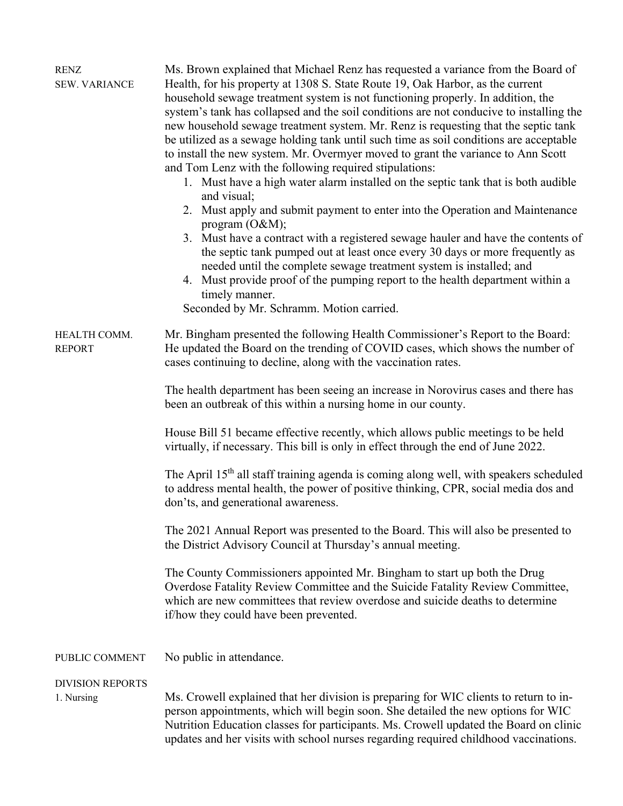| <b>RENZ</b><br><b>SEW. VARIANCE</b>   | Ms. Brown explained that Michael Renz has requested a variance from the Board of<br>Health, for his property at 1308 S. State Route 19, Oak Harbor, as the current<br>household sewage treatment system is not functioning properly. In addition, the<br>system's tank has collapsed and the soil conditions are not conducive to installing the<br>new household sewage treatment system. Mr. Renz is requesting that the septic tank<br>be utilized as a sewage holding tank until such time as soil conditions are acceptable<br>to install the new system. Mr. Overmyer moved to grant the variance to Ann Scott<br>and Tom Lenz with the following required stipulations:<br>1. Must have a high water alarm installed on the septic tank that is both audible<br>and visual;<br>2. Must apply and submit payment to enter into the Operation and Maintenance<br>program $(O&M);$<br>3. Must have a contract with a registered sewage hauler and have the contents of<br>the septic tank pumped out at least once every 30 days or more frequently as<br>needed until the complete sewage treatment system is installed; and<br>4. Must provide proof of the pumping report to the health department within a<br>timely manner.<br>Seconded by Mr. Schramm. Motion carried. |  |
|---------------------------------------|----------------------------------------------------------------------------------------------------------------------------------------------------------------------------------------------------------------------------------------------------------------------------------------------------------------------------------------------------------------------------------------------------------------------------------------------------------------------------------------------------------------------------------------------------------------------------------------------------------------------------------------------------------------------------------------------------------------------------------------------------------------------------------------------------------------------------------------------------------------------------------------------------------------------------------------------------------------------------------------------------------------------------------------------------------------------------------------------------------------------------------------------------------------------------------------------------------------------------------------------------------------------------------|--|
| HEALTH COMM.<br><b>REPORT</b>         | Mr. Bingham presented the following Health Commissioner's Report to the Board:<br>He updated the Board on the trending of COVID cases, which shows the number of<br>cases continuing to decline, along with the vaccination rates.                                                                                                                                                                                                                                                                                                                                                                                                                                                                                                                                                                                                                                                                                                                                                                                                                                                                                                                                                                                                                                               |  |
|                                       | The health department has been seeing an increase in Norovirus cases and there has<br>been an outbreak of this within a nursing home in our county.                                                                                                                                                                                                                                                                                                                                                                                                                                                                                                                                                                                                                                                                                                                                                                                                                                                                                                                                                                                                                                                                                                                              |  |
|                                       | House Bill 51 became effective recently, which allows public meetings to be held<br>virtually, if necessary. This bill is only in effect through the end of June 2022.                                                                                                                                                                                                                                                                                                                                                                                                                                                                                                                                                                                                                                                                                                                                                                                                                                                                                                                                                                                                                                                                                                           |  |
|                                       | The April 15 <sup>th</sup> all staff training agenda is coming along well, with speakers scheduled<br>to address mental health, the power of positive thinking, CPR, social media dos and<br>don'ts, and generational awareness.                                                                                                                                                                                                                                                                                                                                                                                                                                                                                                                                                                                                                                                                                                                                                                                                                                                                                                                                                                                                                                                 |  |
|                                       | The 2021 Annual Report was presented to the Board. This will also be presented to<br>the District Advisory Council at Thursday's annual meeting.                                                                                                                                                                                                                                                                                                                                                                                                                                                                                                                                                                                                                                                                                                                                                                                                                                                                                                                                                                                                                                                                                                                                 |  |
|                                       | The County Commissioners appointed Mr. Bingham to start up both the Drug<br>Overdose Fatality Review Committee and the Suicide Fatality Review Committee,<br>which are new committees that review overdose and suicide deaths to determine<br>if/how they could have been prevented.                                                                                                                                                                                                                                                                                                                                                                                                                                                                                                                                                                                                                                                                                                                                                                                                                                                                                                                                                                                             |  |
| PUBLIC COMMENT                        | No public in attendance.                                                                                                                                                                                                                                                                                                                                                                                                                                                                                                                                                                                                                                                                                                                                                                                                                                                                                                                                                                                                                                                                                                                                                                                                                                                         |  |
| <b>DIVISION REPORTS</b><br>1. Nursing | Ms. Crowell explained that her division is preparing for WIC clients to return to in-<br>person appointments, which will begin soon. She detailed the new options for WIC<br>Nutrition Education classes for participants. Ms. Crowell updated the Board on clinic                                                                                                                                                                                                                                                                                                                                                                                                                                                                                                                                                                                                                                                                                                                                                                                                                                                                                                                                                                                                               |  |

updates and her visits with school nurses regarding required childhood vaccinations.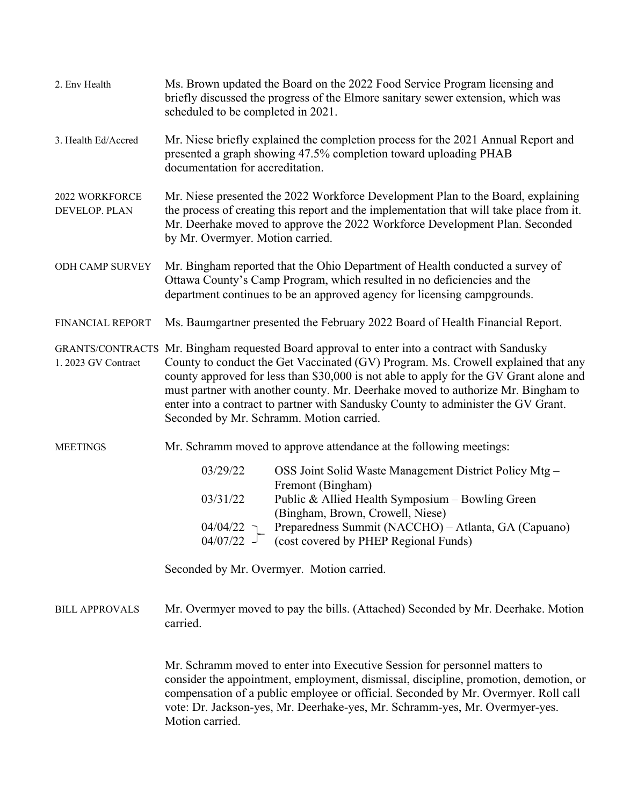| 2. Env Health                   | Ms. Brown updated the Board on the 2022 Food Service Program licensing and<br>briefly discussed the progress of the Elmore sanitary sewer extension, which was<br>scheduled to be completed in 2021.                                                                                                                                                                                                                                                                                             |  |  |  |
|---------------------------------|--------------------------------------------------------------------------------------------------------------------------------------------------------------------------------------------------------------------------------------------------------------------------------------------------------------------------------------------------------------------------------------------------------------------------------------------------------------------------------------------------|--|--|--|
| 3. Health Ed/Accred             | Mr. Niese briefly explained the completion process for the 2021 Annual Report and<br>presented a graph showing 47.5% completion toward uploading PHAB<br>documentation for accreditation.                                                                                                                                                                                                                                                                                                        |  |  |  |
| 2022 WORKFORCE<br>DEVELOP. PLAN | Mr. Niese presented the 2022 Workforce Development Plan to the Board, explaining<br>the process of creating this report and the implementation that will take place from it.<br>Mr. Deerhake moved to approve the 2022 Workforce Development Plan. Seconded<br>by Mr. Overmyer. Motion carried.                                                                                                                                                                                                  |  |  |  |
| ODH CAMP SURVEY                 | Mr. Bingham reported that the Ohio Department of Health conducted a survey of<br>Ottawa County's Camp Program, which resulted in no deficiencies and the<br>department continues to be an approved agency for licensing campgrounds.                                                                                                                                                                                                                                                             |  |  |  |
| FINANCIAL REPORT                | Ms. Baumgartner presented the February 2022 Board of Health Financial Report.                                                                                                                                                                                                                                                                                                                                                                                                                    |  |  |  |
| 1. 2023 GV Contract             | GRANTS/CONTRACTS Mr. Bingham requested Board approval to enter into a contract with Sandusky<br>County to conduct the Get Vaccinated (GV) Program. Ms. Crowell explained that any<br>county approved for less than \$30,000 is not able to apply for the GV Grant alone and<br>must partner with another county. Mr. Deerhake moved to authorize Mr. Bingham to<br>enter into a contract to partner with Sandusky County to administer the GV Grant.<br>Seconded by Mr. Schramm. Motion carried. |  |  |  |
| <b>MEETINGS</b>                 | Mr. Schramm moved to approve attendance at the following meetings:                                                                                                                                                                                                                                                                                                                                                                                                                               |  |  |  |
|                                 | 03/29/22<br>OSS Joint Solid Waste Management District Policy Mtg-<br>Fremont (Bingham)<br>Public & Allied Health Symposium - Bowling Green<br>03/31/22<br>(Bingham, Brown, Crowell, Niese)                                                                                                                                                                                                                                                                                                       |  |  |  |
|                                 | Preparedness Summit (NACCHO) - Atlanta, GA (Capuano)<br>04/04/22<br>(cost covered by PHEP Regional Funds)<br>$04/07/22$ -                                                                                                                                                                                                                                                                                                                                                                        |  |  |  |
|                                 | Seconded by Mr. Overmyer. Motion carried.                                                                                                                                                                                                                                                                                                                                                                                                                                                        |  |  |  |
| <b>BILL APPROVALS</b>           | Mr. Overmyer moved to pay the bills. (Attached) Seconded by Mr. Deerhake. Motion<br>carried.                                                                                                                                                                                                                                                                                                                                                                                                     |  |  |  |
|                                 | Mr. Schramm moved to enter into Executive Session for personnel matters to<br>consider the appointment, employment, dismissal, discipline, promotion, demotion, or<br>compensation of a public employee or official. Seconded by Mr. Overmyer. Roll call<br>vote: Dr. Jackson-yes, Mr. Deerhake-yes, Mr. Schramm-yes, Mr. Overmyer-yes.<br>Motion carried.                                                                                                                                       |  |  |  |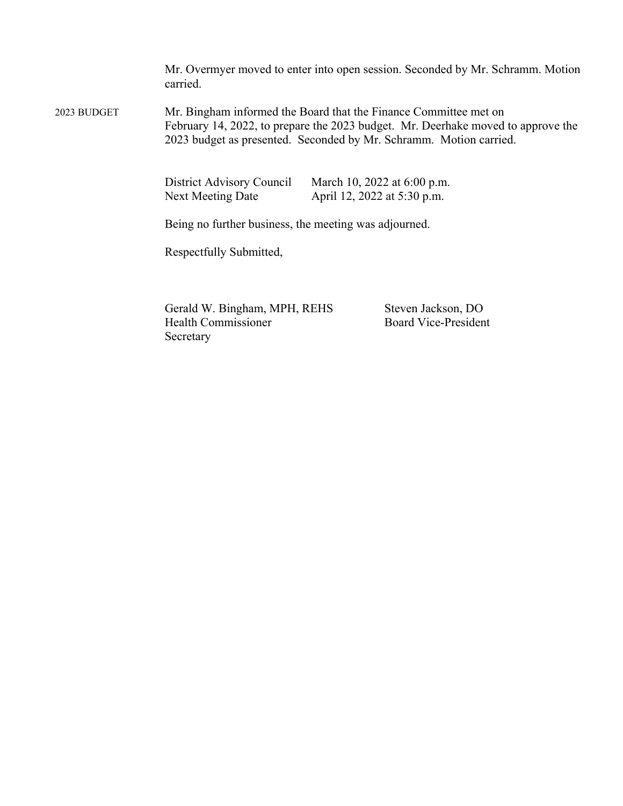Mr. Overmyer moved to enter into open session. Seconded by Mr. Schramm. Motion carried.

2023 BUDGET Mr. Bingham informed the Board that the Finance Committee met on February 14, 2022, to prepare the 2023 budget. Mr. Deerhake moved to approve the 2023 budget as presented. Seconded by Mr. Schramm. Motion carried.

> District Advisory Council March 10, 2022 at 6:00 p.m. Next Meeting Date April 12, 2022 at 5:30 p.m.

Being no further business, the meeting was adjourned.

Respectfully Submitted,

Gerald W. Bingham, MPH, REHS Steven Jackson, DO Health Commissioner Board Vice-President Secretary